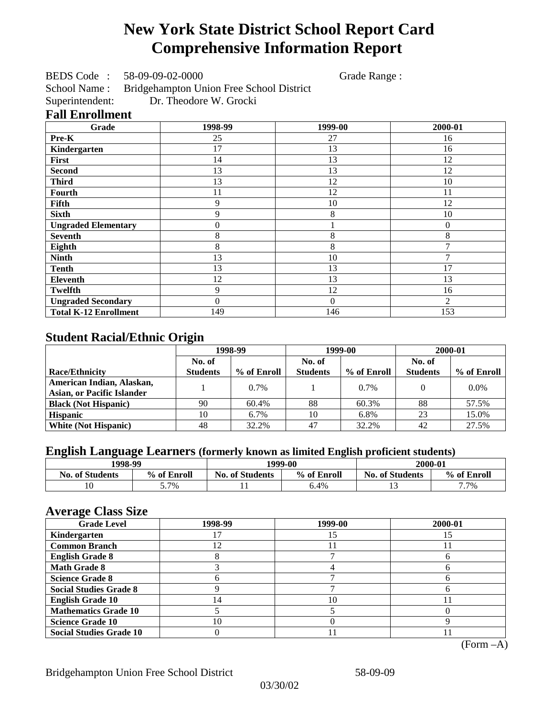# **New York State District School Report Card Comprehensive Information Report**

BEDS Code : 58-09-09-02-0000 Grade Range :

School Name : Bridgehampton Union Free School District Superintendent: Dr. Theodore W. Grocki

### **Fall Enrollment**

| Grade                        | 1998-99  | 1999-00  | 2000-01        |
|------------------------------|----------|----------|----------------|
| Pre-K                        | 25       | 27       | 16             |
| Kindergarten                 | 17       | 13       | 16             |
| First                        | 14       | 13       | 12             |
| <b>Second</b>                | 13       | 13       | 12             |
| <b>Third</b>                 | 13       | 12       | 10             |
| Fourth                       | 11       | 12       | 11             |
| Fifth                        | 9        | 10       | 12             |
| <b>Sixth</b>                 | 9        | 8        | 10             |
| <b>Ungraded Elementary</b>   | 0        |          | $\theta$       |
| <b>Seventh</b>               | 8        | 8        | 8              |
| Eighth                       | 8        | 8        |                |
| <b>Ninth</b>                 | 13       | 10       |                |
| <b>Tenth</b>                 | 13       | 13       | 17             |
| Eleventh                     | 12       | 13       | 13             |
| <b>Twelfth</b>               | 9        | 12       | 16             |
| <b>Ungraded Secondary</b>    | $\theta$ | $\Omega$ | $\overline{2}$ |
| <b>Total K-12 Enrollment</b> | 149      | 146      | 153            |

## **Student Racial/Ethnic Origin**

|                                   | 1998-99         |             |                 | 1999-00     | 2000-01         |             |
|-----------------------------------|-----------------|-------------|-----------------|-------------|-----------------|-------------|
|                                   | No. of          |             | No. of          |             | No. of          |             |
| <b>Race/Ethnicity</b>             | <b>Students</b> | % of Enroll | <b>Students</b> | % of Enroll | <b>Students</b> | % of Enroll |
| American Indian, Alaskan,         |                 | $0.7\%$     |                 | 0.7%        |                 | $0.0\%$     |
| <b>Asian, or Pacific Islander</b> |                 |             |                 |             |                 |             |
| <b>Black (Not Hispanic)</b>       | 90              | 60.4%       | 88              | 60.3%       | 88              | 57.5%       |
| <b>Hispanic</b>                   | 10              | $6.7\%$     | 10              | 6.8%        | 23              | 15.0%       |
| <b>White (Not Hispanic)</b>       | 48              | 32.2%       | 47              | 32.2%       | 42              | 27.5%       |

## **English Language Learners (formerly known as limited English proficient students)**

| 1998-99                | 1999-00     |                        |             | 2000-01                |             |  |
|------------------------|-------------|------------------------|-------------|------------------------|-------------|--|
| <b>No. of Students</b> | % of Enroll | <b>No. of Students</b> | % of Enroll | <b>No. of Students</b> | % of Enroll |  |
|                        | 7%          | . .                    | 6.4%        |                        | 7.7%        |  |

### **Average Class Size**

| <b>Grade Level</b>             | 1998-99 | 1999-00 | 2000-01 |
|--------------------------------|---------|---------|---------|
| Kindergarten                   |         |         |         |
| <b>Common Branch</b>           | 12      |         |         |
| <b>English Grade 8</b>         |         |         |         |
| <b>Math Grade 8</b>            |         |         |         |
| <b>Science Grade 8</b>         |         |         |         |
| <b>Social Studies Grade 8</b>  |         |         |         |
| <b>English Grade 10</b>        | 4       | 10      |         |
| <b>Mathematics Grade 10</b>    |         |         |         |
| <b>Science Grade 10</b>        | 10      |         |         |
| <b>Social Studies Grade 10</b> |         |         |         |

(Form –A)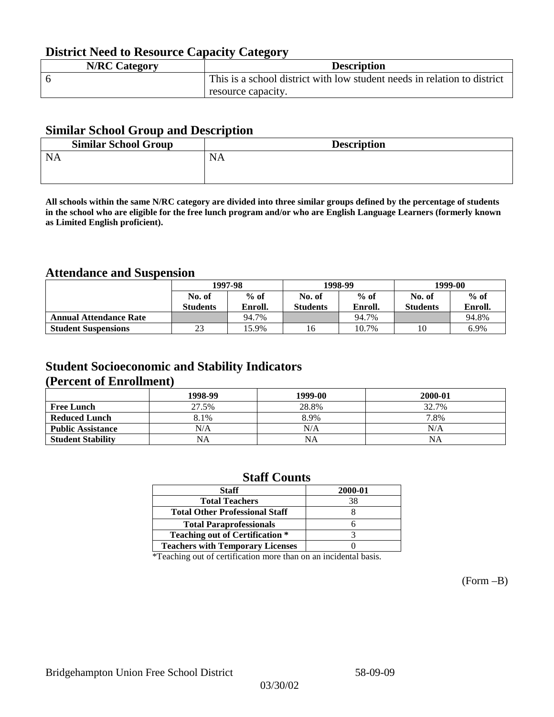## **District Need to Resource Capacity Category**

| <b>N/RC Category</b> | <b>Description</b>                                                       |
|----------------------|--------------------------------------------------------------------------|
|                      | This is a school district with low student needs in relation to district |
|                      | resource capacity.                                                       |

### **Similar School Group and Description**

| <b>Similar School Group</b> | <b>Description</b> |
|-----------------------------|--------------------|
| <b>NA</b>                   | NA                 |
|                             |                    |

**All schools within the same N/RC category are divided into three similar groups defined by the percentage of students in the school who are eligible for the free lunch program and/or who are English Language Learners (formerly known as Limited English proficient).**

## **Attendance and Suspension**

|                               | 1997-98          |         |                 | 1998-99 | 1999-00         |         |
|-------------------------------|------------------|---------|-----------------|---------|-----------------|---------|
|                               | $%$ of<br>No. of |         | No. of          | $%$ of  | No. of          | $%$ of  |
|                               | <b>Students</b>  | Enroll. | <b>Students</b> | Enroll. | <b>Students</b> | Enroll. |
| <b>Annual Attendance Rate</b> |                  | 94.7%   |                 | 94.7%   |                 | 94.8%   |
| <b>Student Suspensions</b>    | 23               | 15.9%   | 16              | 10.7%   | 10              | 6.9%    |

### **Student Socioeconomic and Stability Indicators (Percent of Enrollment)**

|                          | 1998-99   | 1999-00   | 2000-01   |
|--------------------------|-----------|-----------|-----------|
| <b>Free Lunch</b>        | 27.5%     | 28.8%     | 32.7%     |
| <b>Reduced Lunch</b>     | 8.1%      | 8.9%      | 7.8%      |
| <b>Public Assistance</b> | N/A       | N/A       | N/A       |
| <b>Student Stability</b> | <b>NA</b> | <b>NA</b> | <b>NA</b> |

### **Staff Counts**

| <b>Staff</b>                            | 2000-01 |
|-----------------------------------------|---------|
| <b>Total Teachers</b>                   | 38      |
| <b>Total Other Professional Staff</b>   |         |
| <b>Total Paraprofessionals</b>          |         |
| <b>Teaching out of Certification *</b>  |         |
| <b>Teachers with Temporary Licenses</b> |         |

\*Teaching out of certification more than on an incidental basis.

(Form –B)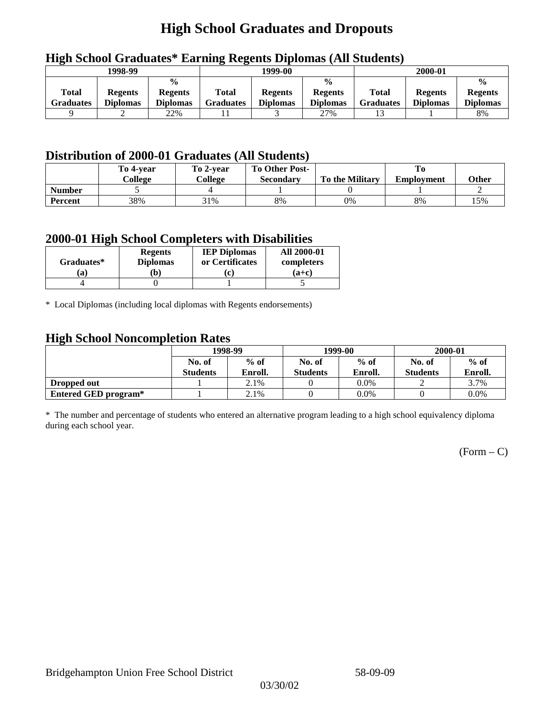## **High School Graduates and Dropouts**

|                                  | 1998-99                           |                                                    |                           | 1999-00                           |                                                    |                           | 2000-01                           |                                                    |
|----------------------------------|-----------------------------------|----------------------------------------------------|---------------------------|-----------------------------------|----------------------------------------------------|---------------------------|-----------------------------------|----------------------------------------------------|
| <b>Total</b><br><b>Graduates</b> | <b>Regents</b><br><b>Diplomas</b> | $\frac{0}{0}$<br><b>Regents</b><br><b>Diplomas</b> | <b>Total</b><br>Graduates | <b>Regents</b><br><b>Diplomas</b> | $\frac{0}{0}$<br><b>Regents</b><br><b>Diplomas</b> | Total<br><b>Graduates</b> | <b>Regents</b><br><b>Diplomas</b> | $\frac{0}{0}$<br><b>Regents</b><br><b>Diplomas</b> |
|                                  | ∸                                 | 22%                                                |                           |                                   | 27%                                                |                           |                                   | 8%                                                 |

## **High School Graduates\* Earning Regents Diplomas (All Students)**

## **Distribution of 2000-01 Graduates (All Students)**

|               | To 4-vear | To 2-year | <b>To Other Post-</b> |                        |                   |       |
|---------------|-----------|-----------|-----------------------|------------------------|-------------------|-------|
|               | College   | College   | Secondary             | <b>To the Military</b> | <b>Employment</b> | Other |
| <b>Number</b> |           |           |                       |                        |                   |       |
| Percent       | 38%       | 31%       | 8%                    | 0%                     | 8%                | 15%   |

### **2000-01 High School Completers with Disabilities**

|            | <b>Regents</b>  | <b>IEP Diplomas</b> | <b>All 2000-01</b> |
|------------|-----------------|---------------------|--------------------|
| Graduates* | <b>Diplomas</b> | or Certificates     | completers         |
| 'ai        | $\mathbf{b}$    | $ {\bf c} $         | $(a+c)$            |
|            |                 |                     |                    |

\* Local Diplomas (including local diplomas with Regents endorsements)

### **High School Noncompletion Rates**

| ັ                    | 1998-99         |         |                 | 1999-00 | 2000-01         |         |
|----------------------|-----------------|---------|-----------------|---------|-----------------|---------|
|                      | No. of          | $%$ of  | No. of          | $%$ of  | No. of          | $%$ of  |
|                      | <b>Students</b> | Enroll. | <b>Students</b> | Enroll. | <b>Students</b> | Enroll. |
| Dropped out          |                 | 2.1%    |                 | $0.0\%$ |                 | 3.7%    |
| Entered GED program* |                 | 2.1%    |                 | $0.0\%$ |                 | $0.0\%$ |

\* The number and percentage of students who entered an alternative program leading to a high school equivalency diploma during each school year.

 $(Form - C)$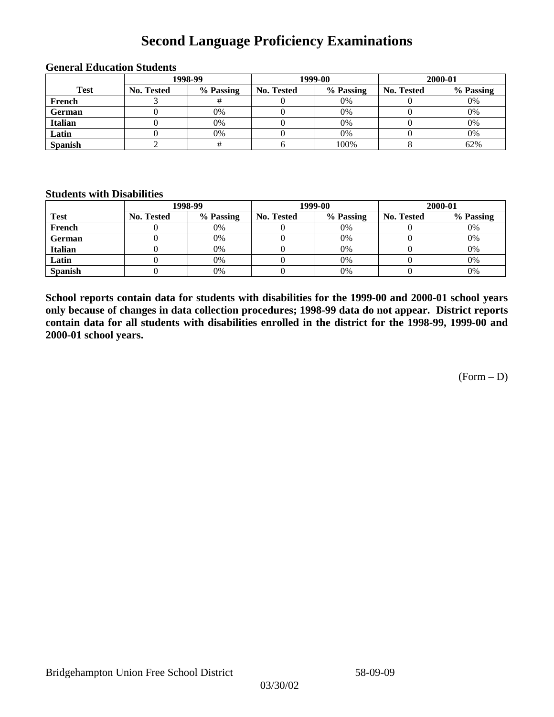## **Second Language Proficiency Examinations**

|                | 1998-99    |           |                   | 1999-00   | 2000-01    |           |  |
|----------------|------------|-----------|-------------------|-----------|------------|-----------|--|
| <b>Test</b>    | No. Tested | % Passing | <b>No. Tested</b> | % Passing | No. Tested | % Passing |  |
| French         |            |           |                   | 0%        |            | 0%        |  |
| <b>German</b>  |            | 0%        |                   | 0%        |            | 0%        |  |
| Italian        |            | 0%        |                   | 0%        |            | 0%        |  |
| Latin          |            | 0%        |                   | 0%        |            | 0%        |  |
| <b>Spanish</b> |            |           |                   | 100%      |            | 62%       |  |

#### **General Education Students**

### **Students with Disabilities**

|                | 1998-99    |           |                   | 1999-00   | 2000-01    |           |  |
|----------------|------------|-----------|-------------------|-----------|------------|-----------|--|
| <b>Test</b>    | No. Tested | % Passing | <b>No. Tested</b> | % Passing | No. Tested | % Passing |  |
| French         |            | 0%        |                   | 0%        |            | 0%        |  |
| <b>German</b>  |            | 0%        |                   | 0%        |            | 0%        |  |
| Italian        |            | 0%        |                   | 0%        |            | 0%        |  |
| Latin          |            | 0%        |                   | $0\%$     |            | 0%        |  |
| <b>Spanish</b> |            | 0%        |                   | 0%        |            | 0%        |  |

**School reports contain data for students with disabilities for the 1999-00 and 2000-01 school years only because of changes in data collection procedures; 1998-99 data do not appear. District reports contain data for all students with disabilities enrolled in the district for the 1998-99, 1999-00 and 2000-01 school years.**

 $(Form - D)$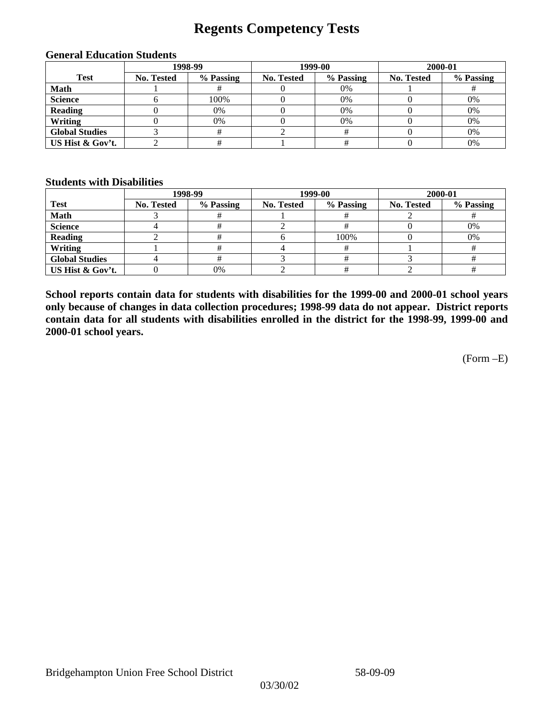## **Regents Competency Tests**

|                       | 1998-99    |           |            | 1999-00   | 2000-01    |           |
|-----------------------|------------|-----------|------------|-----------|------------|-----------|
| <b>Test</b>           | No. Tested | % Passing | No. Tested | % Passing | No. Tested | % Passing |
| Math                  |            |           |            | 0%        |            |           |
| <b>Science</b>        |            | 100%      |            | 0%        |            | 0%        |
| <b>Reading</b>        |            | 0%        |            | 0%        |            | 0%        |
| Writing               |            | 0%        |            | 0%        |            | 0%        |
| <b>Global Studies</b> |            |           |            |           |            | 0%        |
| US Hist & Gov't.      |            |           |            |           |            | 0%        |

#### **General Education Students**

### **Students with Disabilities**

|                       |                   | 1998-99   | 1999-00    |           | 2000-01           |           |
|-----------------------|-------------------|-----------|------------|-----------|-------------------|-----------|
| <b>Test</b>           | <b>No. Tested</b> | % Passing | No. Tested | % Passing | <b>No. Tested</b> | % Passing |
| <b>Math</b>           |                   |           |            |           |                   |           |
| <b>Science</b>        |                   |           |            |           |                   | 0%        |
| <b>Reading</b>        |                   |           |            | 100%      |                   | 0%        |
| Writing               |                   |           |            |           |                   |           |
| <b>Global Studies</b> |                   |           |            |           |                   |           |
| US Hist & Gov't.      |                   | 0%        |            |           |                   |           |

**School reports contain data for students with disabilities for the 1999-00 and 2000-01 school years only because of changes in data collection procedures; 1998-99 data do not appear. District reports contain data for all students with disabilities enrolled in the district for the 1998-99, 1999-00 and 2000-01 school years.**

(Form –E)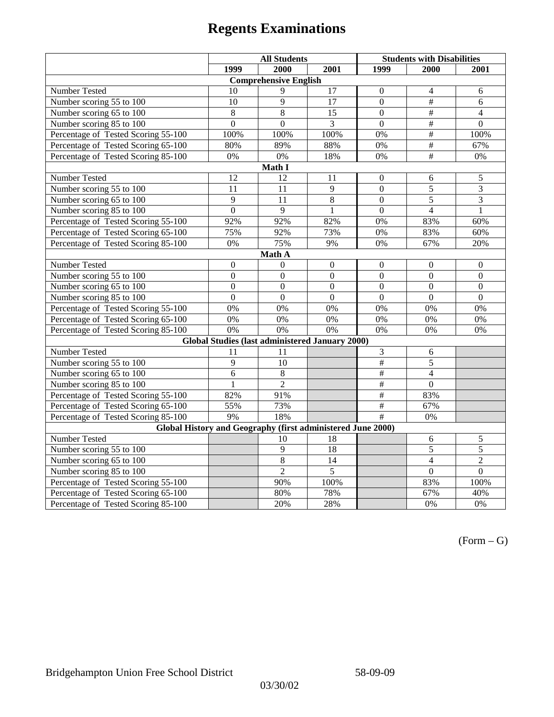|                                                                               | <b>All Students</b> |                                                 |                  | <b>Students with Disabilities</b> |                  |                  |  |  |
|-------------------------------------------------------------------------------|---------------------|-------------------------------------------------|------------------|-----------------------------------|------------------|------------------|--|--|
|                                                                               | 1999                | 2000                                            | 2001             | 1999                              | 2000             | 2001             |  |  |
|                                                                               |                     | <b>Comprehensive English</b>                    |                  |                                   |                  |                  |  |  |
| Number Tested                                                                 | 10                  | 9                                               | $\overline{17}$  | $\boldsymbol{0}$                  | $\overline{4}$   | 6                |  |  |
| Number scoring 55 to 100                                                      | 10                  | 9                                               | 17               | $\mathbf{0}$                      | $\#$             | 6                |  |  |
| Number scoring 65 to 100                                                      | 8                   | 8                                               | 15               | $\overline{0}$                    | $\overline{+}$   | $\overline{4}$   |  |  |
| Number scoring 85 to 100                                                      | $\overline{0}$      | $\overline{0}$                                  | 3                | $\overline{0}$                    | #                | $\overline{0}$   |  |  |
| Percentage of Tested Scoring 55-100                                           | 100%                | 100%                                            | 100%             | 0%                                | $\#$             | 100%             |  |  |
| Percentage of Tested Scoring 65-100                                           | 80%                 | 89%                                             | 88%              | 0%                                | #                | 67%              |  |  |
| Percentage of Tested Scoring 85-100                                           | 0%                  | 0%                                              | 18%              | 0%                                | $\overline{+}$   | $0\%$            |  |  |
|                                                                               |                     | Math I                                          |                  |                                   |                  |                  |  |  |
| <b>Number Tested</b><br>12<br>12<br>$\boldsymbol{0}$<br>$\sqrt{5}$<br>11<br>6 |                     |                                                 |                  |                                   |                  |                  |  |  |
| Number scoring 55 to 100                                                      | 11                  | $\overline{11}$                                 | $\overline{9}$   | $\overline{0}$                    | $\overline{5}$   | $\overline{3}$   |  |  |
| Number scoring 65 to 100                                                      | 9                   | 11                                              | $\overline{8}$   | $\overline{0}$                    | 5                | $\overline{3}$   |  |  |
| Number scoring 85 to 100                                                      | $\overline{0}$      | $\overline{9}$                                  | $\mathbf{1}$     | $\overline{0}$                    | $\overline{4}$   | $\mathbf{1}$     |  |  |
| Percentage of Tested Scoring 55-100                                           | 92%                 | 92%                                             | 82%              | $0\%$                             | 83%              | 60%              |  |  |
| Percentage of Tested Scoring 65-100                                           | 75%                 | 92%                                             | 73%              | 0%                                | 83%              | 60%              |  |  |
| Percentage of Tested Scoring 85-100                                           | 0%                  | 75%                                             | 9%               | 0%                                | 67%              | 20%              |  |  |
| Math A                                                                        |                     |                                                 |                  |                                   |                  |                  |  |  |
| Number Tested                                                                 | $\boldsymbol{0}$    | $\mathbf{0}$                                    | $\boldsymbol{0}$ | $\boldsymbol{0}$                  | $\boldsymbol{0}$ | $\boldsymbol{0}$ |  |  |
| Number scoring 55 to 100                                                      | $\boldsymbol{0}$    | $\boldsymbol{0}$                                | $\overline{0}$   | $\overline{0}$                    | $\overline{0}$   | $\boldsymbol{0}$ |  |  |
| Number scoring 65 to 100                                                      | $\mathbf{0}$        | $\mathbf{0}$                                    | $\mathbf{0}$     | $\overline{0}$                    | $\mathbf{0}$     | $\boldsymbol{0}$ |  |  |
| Number scoring 85 to 100                                                      | $\overline{0}$      | $\overline{0}$                                  | $\mathbf{0}$     | $\overline{0}$                    | $\mathbf{0}$     | $\mathbf{0}$     |  |  |
| Percentage of Tested Scoring 55-100                                           | 0%                  | 0%                                              | 0%               | 0%                                | 0%               | 0%               |  |  |
| Percentage of Tested Scoring 65-100                                           | 0%                  | $\overline{0\%}$                                | $\overline{0\%}$ | $\overline{0\%}$                  | $\overline{0\%}$ | $\overline{0\%}$ |  |  |
| Percentage of Tested Scoring 85-100                                           | 0%                  | 0%                                              | 0%               | 0%                                | 0%               | 0%               |  |  |
|                                                                               |                     | Global Studies (last administered January 2000) |                  |                                   |                  |                  |  |  |
| Number Tested                                                                 | 11                  | 11                                              |                  | 3                                 | $\sqrt{6}$       |                  |  |  |
| Number scoring 55 to 100                                                      | 9                   | 10                                              |                  | $\overline{\#}$                   | $\overline{5}$   |                  |  |  |
| Number scoring $65 \overline{)100}$                                           | 6                   | $\,8\,$                                         |                  | $\#$                              | $\overline{4}$   |                  |  |  |
| Number scoring 85 to 100                                                      | 1                   | $\overline{2}$                                  |                  | $\overline{\overline{t}}$         | $\mathbf{0}$     |                  |  |  |
| Percentage of Tested Scoring 55-100                                           | 82%                 | 91%                                             |                  | $\overline{\overline{t}}$         | 83%              |                  |  |  |
| Percentage of Tested Scoring 65-100                                           | 55%                 | 73%                                             |                  | $\overline{\#}$                   | 67%              |                  |  |  |
| Percentage of Tested Scoring 85-100                                           | 9%                  | 18%                                             |                  | $\overline{\#}$                   | 0%               |                  |  |  |
| Global History and Geography (first administered June 2000)                   |                     |                                                 |                  |                                   |                  |                  |  |  |
| Number Tested                                                                 |                     | 10                                              | 18               |                                   | 6                | 5                |  |  |
| Number scoring 55 to 100                                                      |                     | 9                                               | 18               |                                   | 5                | 5                |  |  |
| Number scoring 65 to 100                                                      |                     | 8                                               | 14               |                                   | $\overline{4}$   | $\overline{c}$   |  |  |
| Number scoring 85 to 100                                                      |                     | $\overline{2}$                                  | $\overline{5}$   |                                   | $\overline{0}$   | $\overline{0}$   |  |  |
| Percentage of Tested Scoring 55-100                                           |                     | 90%                                             | 100%             |                                   | 83%              | 100%             |  |  |
| Percentage of Tested Scoring 65-100                                           |                     | 80%                                             | 78%              |                                   | 67%              | 40%              |  |  |
| Percentage of Tested Scoring 85-100                                           |                     | 20%                                             | 28%              |                                   | 0%               | 0%               |  |  |

 $(Form - G)$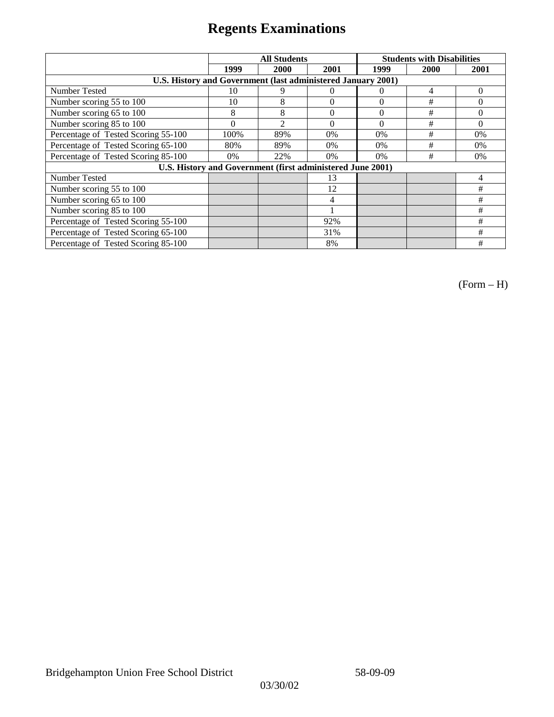|                                                              | <b>All Students</b> |                |                |                | <b>Students with Disabilities</b> |          |
|--------------------------------------------------------------|---------------------|----------------|----------------|----------------|-----------------------------------|----------|
|                                                              | 1999                | 2000           | 2001           | 1999           | 2000                              | 2001     |
| U.S. History and Government (last administered January 2001) |                     |                |                |                |                                   |          |
| Number Tested                                                | 10                  | 9              | $\theta$       | $\theta$       | 4                                 | $\Omega$ |
| Number scoring 55 to 100                                     | 10                  | 8              | $\theta$       | $\overline{0}$ | #                                 | 0        |
| Number scoring 65 to 100                                     | 8                   | 8              | $\overline{0}$ | $\theta$       | #                                 | $\theta$ |
| Number scoring 85 to 100                                     | $\theta$            | $\overline{c}$ | $\theta$       | $\Omega$       | #                                 | $\Omega$ |
| Percentage of Tested Scoring 55-100                          | 100%                | 89%            | $0\%$          | $0\%$          | #                                 | 0%       |
| Percentage of Tested Scoring 65-100                          | 80%                 | 89%            | $0\%$          | $0\%$          | #                                 | $0\%$    |
| Percentage of Tested Scoring 85-100                          | $0\%$               | 22%            | $0\%$          | $0\%$          | #                                 | $0\%$    |
| U.S. History and Government (first administered June 2001)   |                     |                |                |                |                                   |          |
| <b>Number Tested</b>                                         |                     |                | 13             |                |                                   | 4        |
| Number scoring 55 to 100                                     |                     |                | 12             |                |                                   | #        |
| Number scoring 65 to 100                                     |                     |                | 4              |                |                                   | #        |
| Number scoring 85 to 100                                     |                     |                |                |                |                                   | #        |
| Percentage of Tested Scoring 55-100                          |                     |                | 92%            |                |                                   | #        |
| Percentage of Tested Scoring 65-100                          |                     |                | 31%            |                |                                   | #        |
| Percentage of Tested Scoring 85-100                          |                     |                | 8%             |                |                                   | #        |

(Form – H)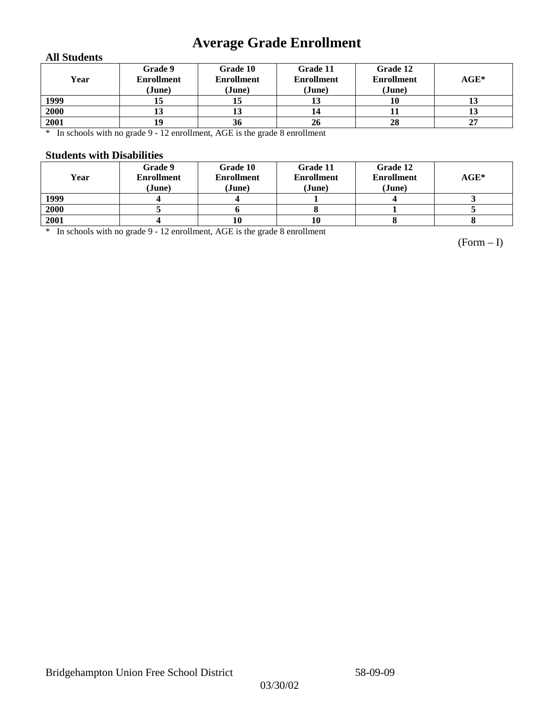## **Average Grade Enrollment**

### **All Students**

| Year | Grade 9<br><b>Enrollment</b><br>(June) | Grade 10<br><b>Enrollment</b><br>(June) | Grade 11<br><b>Enrollment</b><br>(June) | Grade 12<br><b>Enrollment</b><br>(June) | $AGE^*$ |
|------|----------------------------------------|-----------------------------------------|-----------------------------------------|-----------------------------------------|---------|
| 1999 | 15                                     | ю                                       | IJ                                      | 10                                      | 13      |
| 2000 | ıυ                                     | 10                                      | 14                                      | 11                                      | IJ      |
| 2001 | 19                                     | 36                                      | 26                                      | 28                                      | 27      |

\* In schools with no grade 9 - 12 enrollment, AGE is the grade 8 enrollment

### **Students with Disabilities**

| Year | Grade 9<br><b>Enrollment</b><br>(June) | Grade 10<br><b>Enrollment</b><br>(June) | Grade 11<br><b>Enrollment</b><br>(June) | Grade 12<br><b>Enrollment</b><br>(June) | $AGE^*$ |
|------|----------------------------------------|-----------------------------------------|-----------------------------------------|-----------------------------------------|---------|
| 1999 |                                        |                                         |                                         |                                         |         |
| 2000 |                                        |                                         |                                         |                                         |         |
| 2001 |                                        |                                         | 10                                      |                                         |         |

\* In schools with no grade 9 - 12 enrollment, AGE is the grade 8 enrollment

(Form – I)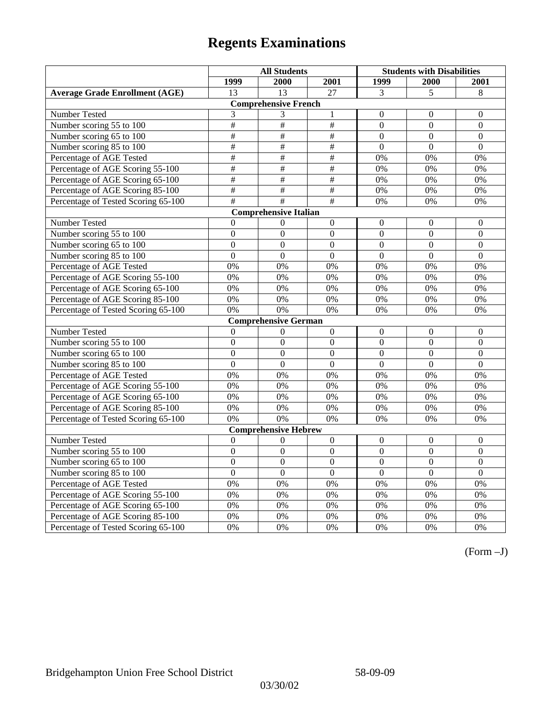|                                       | <b>All Students</b> |                              |                           | <b>Students with Disabilities</b> |                  |                  |
|---------------------------------------|---------------------|------------------------------|---------------------------|-----------------------------------|------------------|------------------|
|                                       | 1999                | 2000                         | 2001                      | 1999                              | 2000             | 2001             |
| <b>Average Grade Enrollment (AGE)</b> | 13                  | 13                           | $\overline{27}$           | $\overline{3}$                    | 5                | 8                |
|                                       |                     | <b>Comprehensive French</b>  |                           |                                   |                  |                  |
| Number Tested                         | 3                   | 3                            | $\mathbf{1}$              | $\mathbf{0}$                      | $\mathbf{0}$     | $\mathbf{0}$     |
| Number scoring 55 to 100              | $\overline{+}$      | $\overline{+}$               | $\overline{\overline{H}}$ | $\theta$                          | $\Omega$         | $\mathbf{0}$     |
| Number scoring 65 to 100              | $\#$                | $\#$                         | $\#$                      | $\overline{0}$                    | $\mathbf{0}$     | $\mathbf{0}$     |
| Number scoring 85 to 100              | $\overline{\#}$     | $\overline{\#}$              | #                         | $\overline{0}$                    | $\mathbf{0}$     | $\mathbf{0}$     |
| Percentage of AGE Tested              | #                   | $\overline{\#}$              | #                         | 0%                                | 0%               | 0%               |
| Percentage of AGE Scoring 55-100      | $\#$                | $\#$                         | $\#$                      | 0%                                | 0%               | 0%               |
| Percentage of AGE Scoring 65-100      | #                   | #                            | #                         | 0%                                | 0%               | 0%               |
| Percentage of AGE Scoring 85-100      | #                   | $\overline{\ddot{\pi}}$      | #                         | 0%                                | 0%               | 0%               |
| Percentage of Tested Scoring 65-100   | $\overline{\#}$     | #                            | #                         | 0%                                | 0%               | 0%               |
|                                       |                     | <b>Comprehensive Italian</b> |                           |                                   |                  |                  |
| Number Tested                         | $\theta$            | $\theta$                     | $\mathbf{0}$              | $\overline{0}$                    | $\mathbf{0}$     | $\theta$         |
| Number scoring 55 to 100              | $\boldsymbol{0}$    | $\overline{0}$               | $\Omega$                  | $\overline{0}$                    | $\overline{0}$   | $\boldsymbol{0}$ |
| Number scoring 65 to 100              | $\mathbf{0}$        | $\mathbf{0}$                 | $\overline{0}$            | $\overline{0}$                    | $\mathbf{0}$     | $\mathbf{0}$     |
| Number scoring 85 to 100              | $\overline{0}$      | $\overline{0}$               | $\overline{0}$            | $\overline{0}$                    | $\overline{0}$   | $\mathbf{0}$     |
| Percentage of AGE Tested              | 0%                  | 0%                           | 0%                        | 0%                                | 0%               | 0%               |
| Percentage of AGE Scoring 55-100      | 0%                  | 0%                           | 0%                        | 0%                                | 0%               | 0%               |
| Percentage of AGE Scoring 65-100      | 0%                  | 0%                           | 0%                        | 0%                                | 0%               | 0%               |
| Percentage of AGE Scoring 85-100      | 0%                  | 0%                           | 0%                        | 0%                                | 0%               | 0%               |
| Percentage of Tested Scoring 65-100   | 0%                  | 0%                           | 0%                        | 0%                                | 0%               | 0%               |
|                                       |                     | <b>Comprehensive German</b>  |                           |                                   |                  |                  |
| Number Tested                         | $\mathbf{0}$        | $\theta$                     | $\mathbf{0}$              | $\overline{0}$                    | $\mathbf{0}$     | $\mathbf{0}$     |
| Number scoring 55 to 100              | $\mathbf{0}$        | $\mathbf{0}$                 | $\overline{0}$            | $\overline{0}$                    | $\overline{0}$   | $\mathbf{0}$     |
| Number scoring 65 to 100              | $\overline{0}$      | $\mathbf{0}$                 | $\overline{0}$            | $\overline{0}$                    | $\mathbf{0}$     | $\mathbf{0}$     |
| Number scoring 85 to 100              | $\overline{0}$      | $\overline{0}$               | $\overline{0}$            | $\overline{0}$                    | $\overline{0}$   | $\overline{0}$   |
| Percentage of AGE Tested              | 0%                  | 0%                           | 0%                        | 0%                                | 0%               | 0%               |
| Percentage of AGE Scoring 55-100      | 0%                  | 0%                           | 0%                        | 0%                                | 0%               | 0%               |
| Percentage of AGE Scoring 65-100      | 0%                  | 0%                           | 0%                        | 0%                                | 0%               | 0%               |
| Percentage of AGE Scoring 85-100      | 0%                  | 0%                           | 0%                        | 0%                                | 0%               | 0%               |
| Percentage of Tested Scoring 65-100   | 0%                  | 0%                           | 0%                        | 0%                                | 0%               | 0%               |
|                                       |                     | <b>Comprehensive Hebrew</b>  |                           |                                   |                  |                  |
| Number Tested                         | $\boldsymbol{0}$    | $\Omega$                     | $\boldsymbol{0}$          | $\boldsymbol{0}$                  | $\boldsymbol{0}$ | $\boldsymbol{0}$ |
| Number scoring 55 to 100              | $\boldsymbol{0}$    | $\mathbf{0}$                 | $\overline{0}$            | $\overline{0}$                    | $\mathbf{0}$     | $\mathbf{0}$     |
| Number scoring 65 to 100              | $\boldsymbol{0}$    | $\mathbf{0}$                 | $\overline{0}$            | $\overline{0}$                    | $\mathbf{0}$     | $\mathbf{0}$     |
| Number scoring 85 to 100              | $\overline{0}$      | $\overline{0}$               | $\overline{0}$            | $\overline{0}$                    | $\Omega$         | $\mathbf{0}$     |
| Percentage of AGE Tested              | 0%                  | 0%                           | 0%                        | 0%                                | 0%               | 0%               |
| Percentage of AGE Scoring 55-100      | 0%                  | 0%                           | 0%                        | 0%                                | 0%               | 0%               |
| Percentage of AGE Scoring 65-100      | 0%                  | 0%                           | 0%                        | 0%                                | 0%               | 0%               |
| Percentage of AGE Scoring 85-100      | 0%                  | 0%                           | 0%                        | $0\%$                             | 0%               | 0%               |
| Percentage of Tested Scoring 65-100   | 0%                  | 0%                           | 0%                        | 0%                                | 0%               | 0%               |

(Form –J)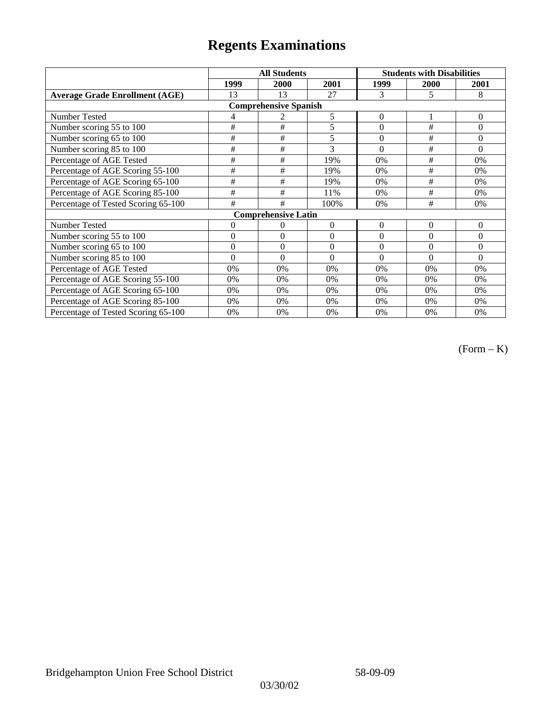|                                       |              | <b>All Students</b>          |              | <b>Students with Disabilities</b> |             |                |
|---------------------------------------|--------------|------------------------------|--------------|-----------------------------------|-------------|----------------|
|                                       | 1999         | 2000                         | 2001         | 1999                              | <b>2000</b> | 2001           |
| <b>Average Grade Enrollment (AGE)</b> | 13           | 13                           | 27           | 3                                 | 5           | 8              |
|                                       |              | <b>Comprehensive Spanish</b> |              |                                   |             |                |
| Number Tested                         | 4            |                              | 5            | $\theta$                          |             | $\theta$       |
| Number scoring 55 to 100              | #            | #                            | 5            | $\theta$                          | #           | $\Omega$       |
| Number scoring 65 to 100              | #            | $\#$                         | 5            | $\theta$                          | #           | $\overline{0}$ |
| Number scoring 85 to 100              | #            | #                            | 3            | $\Omega$                          | #           | $\Omega$       |
| Percentage of AGE Tested              | #            | #                            | 19%          | 0%                                | #           | 0%             |
| Percentage of AGE Scoring 55-100      | #            | #                            | 19%          | 0%                                | $\#$        | 0%             |
| Percentage of AGE Scoring 65-100      | $\#$         | #                            | 19%          | 0%                                | #           | 0%             |
| Percentage of AGE Scoring 85-100      | #            | #                            | 11%          | 0%                                | #           | 0%             |
| Percentage of Tested Scoring 65-100   | #            | #                            | 100%         | 0%                                | #           | 0%             |
|                                       |              | <b>Comprehensive Latin</b>   |              |                                   |             |                |
| Number Tested                         | 0            | 0                            | $\Omega$     | $\theta$                          | $\theta$    | $\overline{0}$ |
| Number scoring 55 to 100              | $\theta$     | $\theta$                     | $\Omega$     | $\theta$                          | $\theta$    | $\Omega$       |
| Number scoring 65 to 100              | $\mathbf{0}$ | $\mathbf{0}$                 | $\mathbf{0}$ | $\theta$                          | $\theta$    | $\theta$       |
| Number scoring 85 to 100              | $\theta$     | $\theta$                     | $\Omega$     | $\Omega$                          | $\Omega$    | $\Omega$       |
| Percentage of AGE Tested              | 0%           | 0%                           | $0\%$        | 0%                                | 0%          | 0%             |
| Percentage of AGE Scoring 55-100      | 0%           | 0%                           | 0%           | 0%                                | 0%          | 0%             |
| Percentage of AGE Scoring 65-100      | 0%           | 0%                           | 0%           | 0%                                | 0%          | 0%             |
| Percentage of AGE Scoring 85-100      | 0%           | 0%                           | 0%           | 0%                                | 0%          | 0%             |
| Percentage of Tested Scoring 65-100   | 0%           | 0%                           | 0%           | 0%                                | 0%          | 0%             |

(Form – K)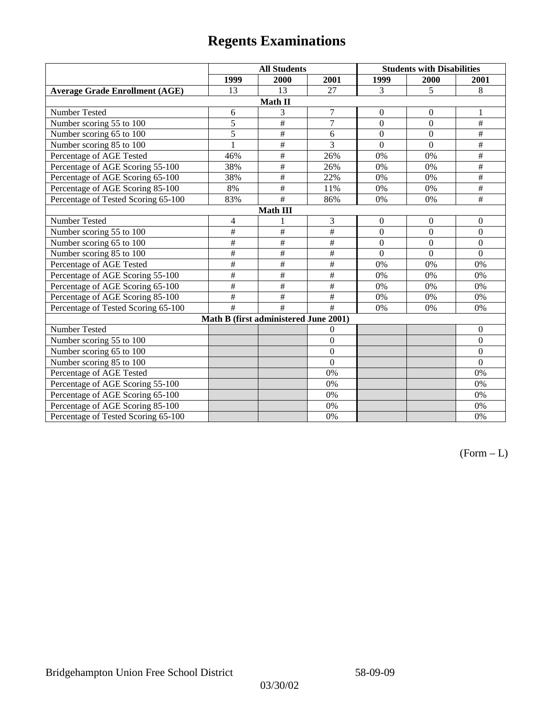|                                       | <b>All Students</b> |                                       |                         | <b>Students with Disabilities</b> |                  |                  |  |  |
|---------------------------------------|---------------------|---------------------------------------|-------------------------|-----------------------------------|------------------|------------------|--|--|
|                                       | 1999                | 2000                                  | 2001                    | 1999                              | 2000             | 2001             |  |  |
| <b>Average Grade Enrollment (AGE)</b> | 13                  | 13                                    | 27                      | 3                                 | 5                | 8                |  |  |
|                                       |                     | Math II                               |                         |                                   |                  |                  |  |  |
| Number Tested                         | 6                   | 3                                     | $\boldsymbol{7}$        | $\boldsymbol{0}$                  | $\boldsymbol{0}$ | 1                |  |  |
| Number scoring 55 to 100              | $\overline{5}$      | $\overline{\ddot{}}$                  | $\overline{7}$          | $\overline{0}$                    | $\overline{0}$   | $\#$             |  |  |
| Number scoring 65 to 100              | 5                   | $\#$                                  | 6                       | $\overline{0}$                    | $\mathbf{0}$     | $\#$             |  |  |
| Number scoring 85 to 100              |                     | $\#$                                  | $\overline{3}$          | $\overline{0}$                    | $\overline{0}$   | $\overline{\#}$  |  |  |
| Percentage of AGE Tested              | 46%                 | $\#$                                  | 26%                     | 0%                                | 0%               | $\#$             |  |  |
| Percentage of AGE Scoring 55-100      | 38%                 | $\#$                                  | 26%                     | 0%                                | 0%               | $\#$             |  |  |
| Percentage of AGE Scoring 65-100      | 38%                 | $\#$                                  | 22%                     | 0%                                | 0%               | $\#$             |  |  |
| Percentage of AGE Scoring 85-100      | $8\%$               | $\#$                                  | 11%                     | 0%                                | 0%               | $\overline{\#}$  |  |  |
| Percentage of Tested Scoring 65-100   | 83%                 | $\overline{\#}$                       | 86%                     | 0%                                | 0%               | $\#$             |  |  |
| Math III                              |                     |                                       |                         |                                   |                  |                  |  |  |
| Number Tested                         | 4                   |                                       | $\mathfrak{Z}$          | $\overline{0}$                    | $\overline{0}$   | $\mathbf{0}$     |  |  |
| Number scoring 55 to 100              | #                   | $\overline{\#}$                       | #                       | $\overline{0}$                    | $\overline{0}$   | $\boldsymbol{0}$ |  |  |
| Number scoring 65 to 100              | #                   | $\#$                                  | $\#$                    | $\boldsymbol{0}$                  | $\boldsymbol{0}$ | $\theta$         |  |  |
| Number scoring 85 to 100              | #                   | $\overline{\ddot{}}$                  | $\overline{\ddot{\pi}}$ | $\overline{0}$                    | $\overline{0}$   | $\mathbf{0}$     |  |  |
| Percentage of AGE Tested              | $\#$                | $\#$                                  | $\#$                    | 0%                                | 0%               | 0%               |  |  |
| Percentage of AGE Scoring 55-100      | #                   | $\#$                                  | #                       | 0%                                | 0%               | 0%               |  |  |
| Percentage of AGE Scoring 65-100      | #                   | $\overline{\#}$                       | $\overline{\#}$         | 0%                                | 0%               | 0%               |  |  |
| Percentage of AGE Scoring 85-100      | #                   | #                                     | #                       | 0%                                | 0%               | 0%               |  |  |
| Percentage of Tested Scoring 65-100   | #                   | #                                     | #                       | 0%                                | 0%               | 0%               |  |  |
|                                       |                     | Math B (first administered June 2001) |                         |                                   |                  |                  |  |  |
| Number Tested                         |                     |                                       | $\theta$                |                                   |                  | $\theta$         |  |  |
| Number scoring 55 to 100              |                     |                                       | $\overline{0}$          |                                   |                  | $\boldsymbol{0}$ |  |  |
| Number scoring 65 to 100              |                     |                                       | $\overline{0}$          |                                   |                  | $\Omega$         |  |  |
| Number scoring 85 to 100              |                     |                                       | $\overline{0}$          |                                   |                  | $\mathbf{0}$     |  |  |
| Percentage of AGE Tested              |                     |                                       | 0%                      |                                   |                  | 0%               |  |  |
| Percentage of AGE Scoring 55-100      |                     |                                       | 0%                      |                                   |                  | 0%               |  |  |
| Percentage of AGE Scoring 65-100      |                     |                                       | 0%                      |                                   |                  | 0%               |  |  |
| Percentage of AGE Scoring 85-100      |                     |                                       | 0%                      |                                   |                  | 0%               |  |  |
| Percentage of Tested Scoring 65-100   |                     |                                       | 0%                      |                                   |                  | 0%               |  |  |

 $(Form - L)$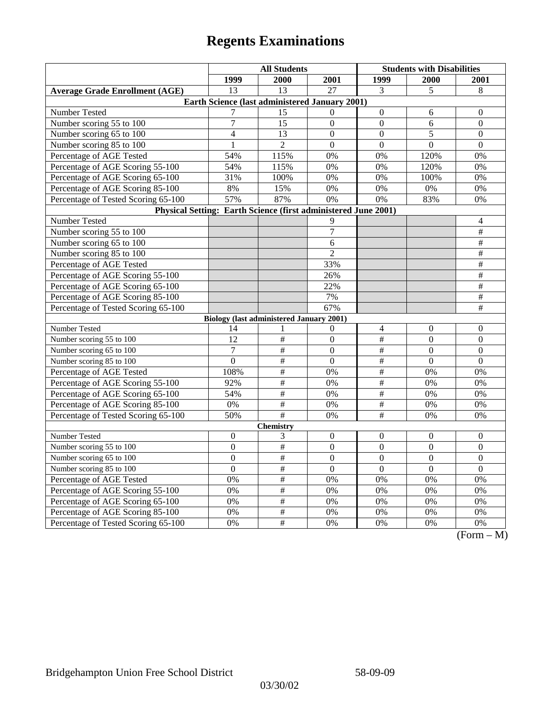|                                                                | <b>All Students</b>                             |                          |                  | <b>Students with Disabilities</b> |                |                                  |  |  |
|----------------------------------------------------------------|-------------------------------------------------|--------------------------|------------------|-----------------------------------|----------------|----------------------------------|--|--|
|                                                                | 1999                                            | 2000                     | 2001             | 1999                              | <b>2000</b>    | 2001                             |  |  |
| <b>Average Grade Enrollment (AGE)</b>                          | $\overline{13}$                                 | $\overline{13}$          | $\overline{27}$  | 3                                 | 5              | $\,8\,$                          |  |  |
| Earth Science (last administered January 2001)                 |                                                 |                          |                  |                                   |                |                                  |  |  |
| Number Tested                                                  | 7                                               | 15                       | $\Omega$         | $\mathbf{0}$                      | 6              | $\theta$                         |  |  |
| Number scoring 55 to 100                                       | $\overline{7}$                                  | 15                       | $\overline{0}$   | $\overline{0}$                    | 6              | $\overline{0}$                   |  |  |
| Number scoring 65 to 100                                       | 4                                               | 13                       | $\overline{0}$   | $\overline{0}$                    | 5              | $\mathbf{0}$                     |  |  |
| Number scoring 85 to 100                                       | $\mathbf{1}$                                    | $\overline{2}$           | $\overline{0}$   | $\overline{0}$                    | $\mathbf{0}$   | $\overline{0}$                   |  |  |
| Percentage of AGE Tested                                       | 54%                                             | 115%                     | 0%               | 0%                                | 120%           | 0%                               |  |  |
| Percentage of AGE Scoring 55-100                               | 54%                                             | 115%                     | 0%               | 0%                                | 120%           | 0%                               |  |  |
| Percentage of AGE Scoring 65-100                               | 31%                                             | 100%                     | 0%               | 0%                                | 100%           | 0%                               |  |  |
| Percentage of AGE Scoring 85-100                               | 8%                                              | 15%                      | 0%               | 0%                                | 0%             | 0%                               |  |  |
| Percentage of Tested Scoring 65-100                            | 57%                                             | 87%                      | 0%               | 0%                                | 83%            | 0%                               |  |  |
| Physical Setting: Earth Science (first administered June 2001) |                                                 |                          |                  |                                   |                |                                  |  |  |
| Number Tested                                                  |                                                 |                          | 9                |                                   |                | 4                                |  |  |
| Number scoring 55 to 100                                       |                                                 |                          | $\overline{7}$   |                                   |                | $\#$                             |  |  |
| Number scoring 65 to 100                                       |                                                 |                          | 6                |                                   |                | $\#$                             |  |  |
| Number scoring 85 to 100                                       |                                                 |                          | $\overline{2}$   |                                   |                | $\#$                             |  |  |
| Percentage of AGE Tested                                       |                                                 |                          | 33%              |                                   |                | $\overline{\#}$                  |  |  |
| Percentage of AGE Scoring 55-100                               |                                                 |                          | 26%              |                                   |                | $\overline{\ddot{}}$             |  |  |
| Percentage of AGE Scoring 65-100                               |                                                 |                          | 22%              |                                   |                | $\#$                             |  |  |
| Percentage of AGE Scoring 85-100                               |                                                 |                          | 7%               |                                   |                | $\#$                             |  |  |
| Percentage of Tested Scoring 65-100                            |                                                 |                          | 67%              |                                   |                | $\overline{+}$                   |  |  |
|                                                                | <b>Biology (last administered January 2001)</b> |                          |                  |                                   |                |                                  |  |  |
| Number Tested                                                  | 14                                              | 1                        | $\mathbf{0}$     | $\overline{4}$                    | $\theta$       | $\theta$                         |  |  |
| Number scoring 55 to 100                                       | 12                                              | $\overline{\#}$          | $\overline{0}$   | $\#$                              | $\overline{0}$ | $\overline{0}$                   |  |  |
| Number scoring 65 to 100                                       | $\overline{7}$                                  | $\overline{+}$           | $\overline{0}$   | $\overline{\#}$                   | $\overline{0}$ | $\mathbf{0}$                     |  |  |
| Number scoring 85 to 100                                       | $\boldsymbol{0}$                                | $\#$                     | $\boldsymbol{0}$ | $\#$                              | $\theta$       | $\theta$                         |  |  |
| Percentage of AGE Tested                                       | 108%                                            | $\#$                     | 0%               | $\#$                              | 0%             | 0%                               |  |  |
| Percentage of AGE Scoring 55-100                               | 92%                                             | #                        | 0%               | #                                 | 0%             | 0%                               |  |  |
| Percentage of AGE Scoring 65-100                               | 54%                                             | $\#$                     | 0%               | $\#$                              | 0%             | 0%                               |  |  |
| Percentage of AGE Scoring 85-100                               | 0%                                              | $\overline{\ddot{}}$     | 0%               | $\overline{\#}$                   | 0%             | 0%                               |  |  |
| Percentage of Tested Scoring 65-100                            | 50%                                             | $\#$                     | 0%               | $\overline{\#}$                   | 0%             | 0%                               |  |  |
| <b>Chemistry</b>                                               |                                                 |                          |                  |                                   |                |                                  |  |  |
| Number Tested                                                  | $\boldsymbol{0}$                                | 3                        | $\boldsymbol{0}$ | $\mathbf{0}$                      | $\mathbf{0}$   | $\mathbf{0}$                     |  |  |
| Number scoring 55 to 100                                       | $\mathbf{0}$                                    | $\overline{+}$           | $\mathbf{0}$     | $\mathbf{0}$                      | $\mathbf{0}$   | $\mathbf{0}$                     |  |  |
| Number scoring 65 to 100                                       | $\overline{0}$                                  | $\overline{\#}$          | $\overline{0}$   | $\overline{0}$                    | $\overline{0}$ | $\boldsymbol{0}$                 |  |  |
| Number scoring 85 to 100                                       | $\overline{0}$                                  | $\#$                     | $\overline{0}$   | $\overline{0}$                    | $\overline{0}$ | $\mathbf{0}$                     |  |  |
| Percentage of AGE Tested                                       | 0%                                              | $\#$                     | 0%               | 0%                                | 0%             | 0%                               |  |  |
| Percentage of AGE Scoring 55-100                               | 0%                                              | $\overline{\#}$          | 0%               | 0%                                | 0%             | 0%                               |  |  |
| Percentage of AGE Scoring 65-100                               | 0%                                              | $\overline{\overline{}}$ | 0%               | 0%                                | 0%             | 0%                               |  |  |
| Percentage of AGE Scoring 85-100                               | 0%                                              | $\#$                     | 0%               | 0%                                | 0%             | 0%                               |  |  |
| Percentage of Tested Scoring 65-100                            | 0%                                              | #                        | 0%               | 0%                                | 0%             | 0%<br>$\sqrt{D}$<br>$\mathbf{A}$ |  |  |

(Form – M)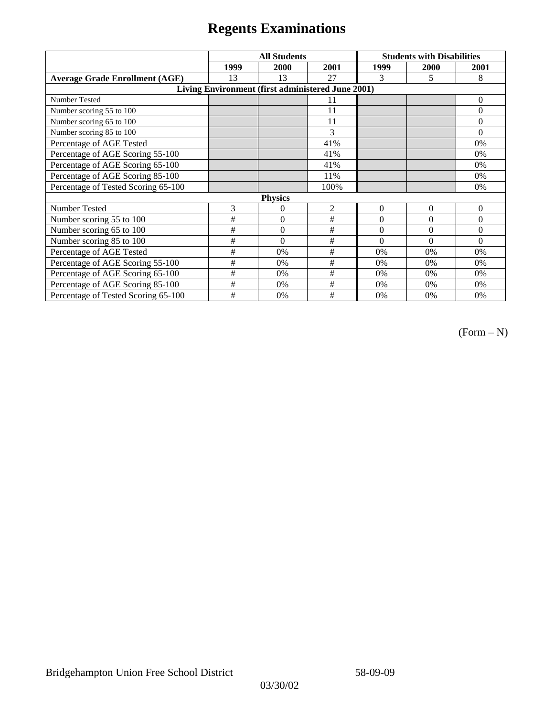|                                                   | <b>All Students</b> |                |                | <b>Students with Disabilities</b> |          |                |  |  |  |
|---------------------------------------------------|---------------------|----------------|----------------|-----------------------------------|----------|----------------|--|--|--|
|                                                   | 1999                | 2000           | 2001           | 1999                              | 2000     | 2001           |  |  |  |
| <b>Average Grade Enrollment (AGE)</b>             | 13                  | 13             | 27             | 3                                 | 5        | 8              |  |  |  |
| Living Environment (first administered June 2001) |                     |                |                |                                   |          |                |  |  |  |
| <b>Number Tested</b>                              |                     |                | 11             |                                   |          | $\overline{0}$ |  |  |  |
| Number scoring 55 to 100                          |                     |                | 11             |                                   |          | $\theta$       |  |  |  |
| Number scoring 65 to 100                          |                     |                | 11             |                                   |          | $\theta$       |  |  |  |
| Number scoring 85 to 100                          |                     |                | 3              |                                   |          | $\theta$       |  |  |  |
| Percentage of AGE Tested                          |                     |                | 41%            |                                   |          | 0%             |  |  |  |
| Percentage of AGE Scoring 55-100                  |                     |                | 41%            |                                   |          | 0%             |  |  |  |
| Percentage of AGE Scoring 65-100                  |                     |                | 41%            |                                   |          | 0%             |  |  |  |
| Percentage of AGE Scoring 85-100                  |                     |                | 11%            |                                   |          | 0%             |  |  |  |
| Percentage of Tested Scoring 65-100               |                     |                | 100%           |                                   |          | 0%             |  |  |  |
|                                                   | <b>Physics</b>      |                |                |                                   |          |                |  |  |  |
| Number Tested                                     | 3                   | 0              | $\overline{2}$ | $\mathbf{0}$                      | $\theta$ | $\theta$       |  |  |  |
| Number scoring 55 to 100                          | $\#$                | $\overline{0}$ | #              | $\Omega$                          | $\Omega$ | $\theta$       |  |  |  |
| Number scoring 65 to 100                          | #                   | $\overline{0}$ | $\#$           | $\mathbf{0}$                      | $\theta$ | $\overline{0}$ |  |  |  |
| Number scoring 85 to 100                          | #                   | $\theta$       | $\#$           | $\Omega$                          | $\Omega$ | $\Omega$       |  |  |  |
| Percentage of AGE Tested                          | #                   | 0%             | $\#$           | 0%                                | 0%       | 0%             |  |  |  |
| Percentage of AGE Scoring 55-100                  | #                   | 0%             | #              | 0%                                | 0%       | 0%             |  |  |  |
| Percentage of AGE Scoring 65-100                  | #                   | 0%             | #              | 0%                                | 0%       | 0%             |  |  |  |
| Percentage of AGE Scoring 85-100                  | #                   | 0%             | $\#$           | 0%                                | 0%       | 0%             |  |  |  |
| Percentage of Tested Scoring 65-100               | #                   | 0%             | #              | 0%                                | 0%       | 0%             |  |  |  |

(Form – N)